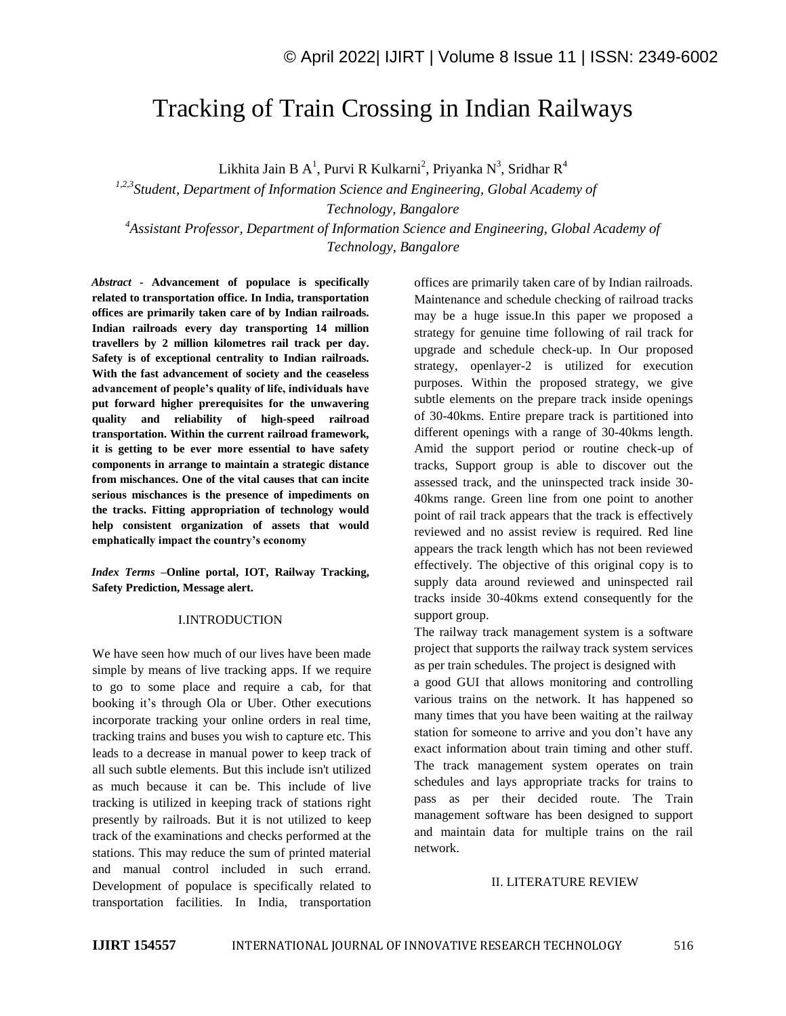# Tracking of Train Crossing in Indian Railways

Likhita Jain B A<sup>1</sup>, Purvi R Kulkarni<sup>2</sup>, Priyanka N<sup>3</sup>, Sridhar R<sup>4</sup>

*1,2,3Student, Department of Information Science and Engineering, Global Academy of Technology, Bangalore <sup>4</sup>Assistant Professor, Department of Information Science and Engineering, Global Academy of* 

*Technology, Bangalore*

*Abstract -* **Advancement of populace is specifically related to transportation office. In India, transportation offices are primarily taken care of by Indian railroads. Indian railroads every day transporting 14 million travellers by 2 million kilometres rail track per day. Safety is of exceptional centrality to Indian railroads. With the fast advancement of society and the ceaseless advancement of people's quality of life, individuals have put forward higher prerequisites for the unwavering quality and reliability of high-speed railroad transportation. Within the current railroad framework, it is getting to be ever more essential to have safety components in arrange to maintain a strategic distance from mischances. One of the vital causes that can incite serious mischances is the presence of impediments on the tracks. Fitting appropriation of technology would help consistent organization of assets that would emphatically impact the country's economy**

*Index Terms –***Online portal, IOT, Railway Tracking, Safety Prediction, Message alert.** 

### I.INTRODUCTION

We have seen how much of our lives have been made simple by means of live tracking apps. If we require to go to some place and require a cab, for that booking it's through Ola or Uber. Other executions incorporate tracking your online orders in real time, tracking trains and buses you wish to capture etc. This leads to a decrease in manual power to keep track of all such subtle elements. But this include isn't utilized as much because it can be. This include of live tracking is utilized in keeping track of stations right presently by railroads. But it is not utilized to keep track of the examinations and checks performed at the stations. This may reduce the sum of printed material and manual control included in such errand. Development of populace is specifically related to transportation facilities. In India, transportation

offices are primarily taken care of by Indian railroads. Maintenance and schedule checking of railroad tracks may be a huge issue.In this paper we proposed a strategy for genuine time following of rail track for upgrade and schedule check-up. In Our proposed strategy, openlayer-2 is utilized for execution purposes. Within the proposed strategy, we give subtle elements on the prepare track inside openings of 30-40kms. Entire prepare track is partitioned into different openings with a range of 30-40kms length. Amid the support period or routine check-up of tracks, Support group is able to discover out the assessed track, and the uninspected track inside 30- 40kms range. Green line from one point to another point of rail track appears that the track is effectively reviewed and no assist review is required. Red line appears the track length which has not been reviewed effectively. The objective of this original copy is to supply data around reviewed and uninspected rail tracks inside 30-40kms extend consequently for the support group.

The railway track management system is a software project that supports the railway track system services as per train schedules. The project is designed with

a good GUI that allows monitoring and controlling various trains on the network. It has happened so many times that you have been waiting at the railway station for someone to arrive and you don't have any exact information about train timing and other stuff. The track management system operates on train schedules and lays appropriate tracks for trains to pass as per their decided route. The Train management software has been designed to support and maintain data for multiple trains on the rail network.

### II. LITERATURE REVIEW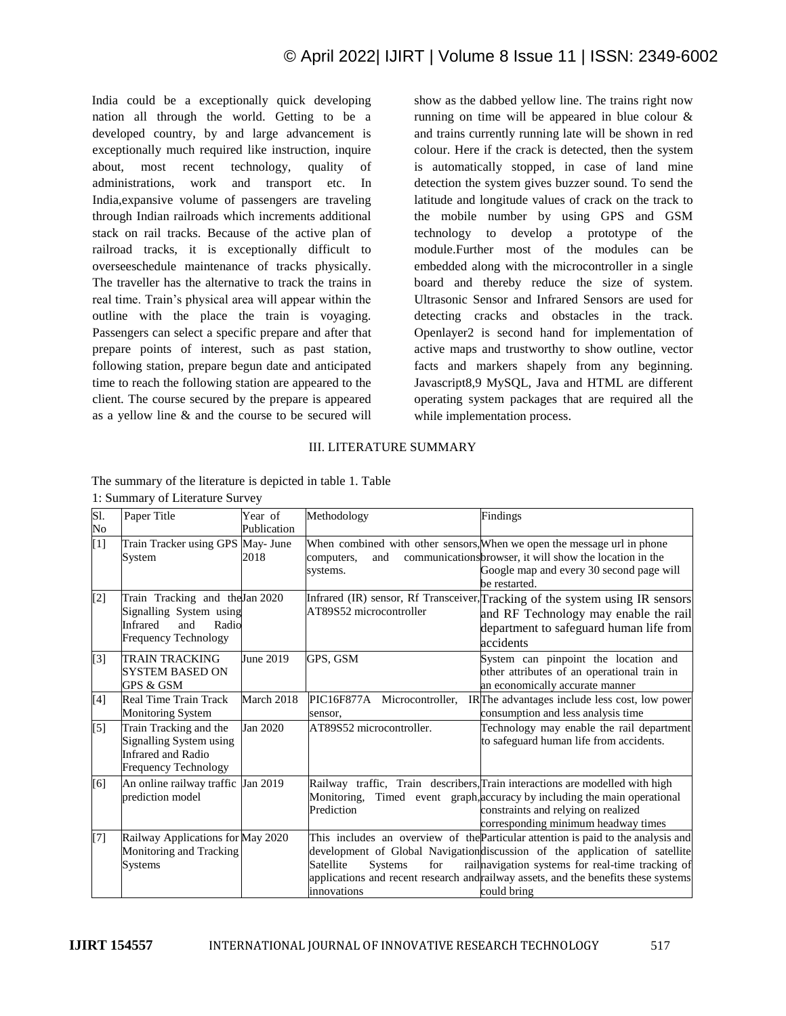India could be a exceptionally quick developing nation all through the world. Getting to be a developed country, by and large advancement is exceptionally much required like instruction, inquire about, most recent technology, quality of administrations, work and transport etc. In India,expansive volume of passengers are traveling through Indian railroads which increments additional stack on rail tracks. Because of the active plan of railroad tracks, it is exceptionally difficult to overseeschedule maintenance of tracks physically. The traveller has the alternative to track the trains in real time. Train's physical area will appear within the outline with the place the train is voyaging. Passengers can select a specific prepare and after that prepare points of interest, such as past station, following station, prepare begun date and anticipated time to reach the following station are appeared to the client. The course secured by the prepare is appeared as a yellow line & and the course to be secured will show as the dabbed yellow line. The trains right now running on time will be appeared in blue colour & and trains currently running late will be shown in red colour. Here if the crack is detected, then the system is automatically stopped, in case of land mine detection the system gives buzzer sound. To send the latitude and longitude values of crack on the track to the mobile number by using GPS and GSM technology to develop a prototype of the module.Further most of the modules can be embedded along with the microcontroller in a single board and thereby reduce the size of system. Ultrasonic Sensor and Infrared Sensors are used for detecting cracks and obstacles in the track. Openlayer2 is second hand for implementation of active maps and trustworthy to show outline, vector facts and markers shapely from any beginning. Javascript8,9 MySQL, Java and HTML are different operating system packages that are required all the while implementation process.

## III. LITERATURE SUMMARY

The summary of the literature is depicted in table 1. Table

| Sl.<br>No | Paper Title                                                                                                                  | Year of<br>Publication | Methodology                                       | Findings                                                                                                                                                                                                                                                                                                                    |
|-----------|------------------------------------------------------------------------------------------------------------------------------|------------------------|---------------------------------------------------|-----------------------------------------------------------------------------------------------------------------------------------------------------------------------------------------------------------------------------------------------------------------------------------------------------------------------------|
| $[1]$     | Train Tracker using GPS May- June<br>System                                                                                  | 2018                   | and<br>computers,<br>systems.                     | When combined with other sensors, When we open the message url in phone<br>communications browser, it will show the location in the<br>Google map and every 30 second page will<br>be restarted.                                                                                                                            |
| $[2]$     | Train Tracking and the Jan 2020<br>Signalling System using<br><b>Infrared</b><br>Radio<br>and<br><b>Frequency Technology</b> |                        | AT89S52 microcontroller                           | Infrared (IR) sensor, Rf Transceiver, Tracking of the system using IR sensors<br>and RF Technology may enable the rail<br>department to safeguard human life from<br>accidents                                                                                                                                              |
| $[3]$     | <b>TRAIN TRACKING</b><br><b>SYSTEM BASED ON</b><br><b>GPS &amp; GSM</b>                                                      | June 2019              | GPS, GSM                                          | System can pinpoint the location and<br>other attributes of an operational train in<br>an economically accurate manner                                                                                                                                                                                                      |
| [4]       | Real Time Train Track<br><b>Monitoring System</b>                                                                            | March 2018             | PIC16F877A Microcontroller.<br>sensor,            | IRThe advantages include less cost, low power<br>consumption and less analysis time                                                                                                                                                                                                                                         |
| $[5]$     | Train Tracking and the<br>Signalling System using<br><b>Infrared and Radio</b><br><b>Frequency Technology</b>                | Jan 2020               | AT89S52 microcontroller.                          | Technology may enable the rail department<br>to safeguard human life from accidents.                                                                                                                                                                                                                                        |
| [6]       | An online railway traffic Jan 2019<br>prediction model                                                                       |                        | Monitoring,<br>Prediction                         | Railway traffic, Train describers, Train interactions are modelled with high<br>Timed event graph, accuracy by including the main operational<br>constraints and relying on realized<br>corresponding minimum headway times                                                                                                 |
| $[7]$     | Railway Applications for May 2020<br>Monitoring and Tracking<br>Systems                                                      |                        | Satellite<br><b>Systems</b><br>for<br>innovations | This includes an overview of the Particular attention is paid to the analysis and<br>development of Global Navigation discussion of the application of satellite<br>rail navigation systems for real-time tracking of<br>applications and recent research and railway assets, and the benefits these systems<br>could bring |

1: Summary of Literature Survey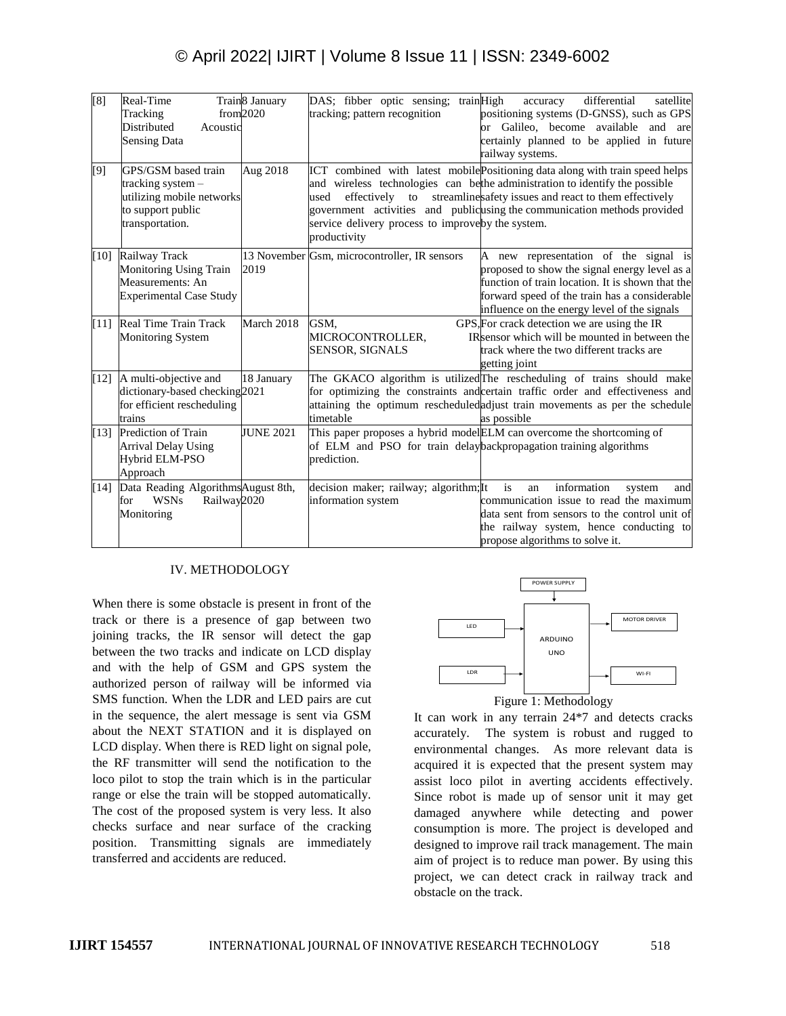# © April 2022| IJIRT | Volume 8 Issue 11 | ISSN: 2349-6002

| [8]    | Real-Time<br>Tracking<br><b>Distributed</b><br>Acoustic<br><b>Sensing Data</b>                                  | Train8 January<br>from 2020 | DAS; fibber optic sensing; trainHigh<br>satellite<br>differential<br>accuracy<br>tracking; pattern recognition<br>positioning systems (D-GNSS), such as GPS<br>or Galileo, become available and are<br>certainly planned to be applied in future<br>railway systems.                                                                                                                            |
|--------|-----------------------------------------------------------------------------------------------------------------|-----------------------------|-------------------------------------------------------------------------------------------------------------------------------------------------------------------------------------------------------------------------------------------------------------------------------------------------------------------------------------------------------------------------------------------------|
| [9]    | GPS/GSM based train<br>tracking system $-$<br>utilizing mobile networks<br>to support public<br>transportation. | Aug 2018                    | ICT combined with latest mobile Positioning data along with train speed helps<br>and wireless technologies can be the administration to identify the possible<br>effectively to streamlines afety issues and react to them effectively<br>used<br>government activities and publicusing the communication methods provided<br>service delivery process to improveby the system.<br>productivity |
| [10]   | Railway Track<br>Monitoring Using Train<br>Measurements: An<br><b>Experimental Case Study</b>                   | 2019                        | 13 November Gsm, microcontroller, IR sensors<br>A new representation of the signal is<br>proposed to show the signal energy level as a<br>function of train location. It is shown that the<br>forward speed of the train has a considerable<br>influence on the energy level of the signals                                                                                                     |
| [11]   | Real Time Train Track<br><b>Monitoring System</b>                                                               | March 2018                  | GPS, For crack detection we are using the IR<br>GSM.<br>IR sensor which will be mounted in between the<br>MICROCONTROLLER,<br>SENSOR, SIGNALS<br>track where the two different tracks are<br>getting joint                                                                                                                                                                                      |
| [12]   | A multi-objective and<br>dictionary-based checking2021<br>for efficient rescheduling<br>trains                  | 18 January                  | The GKACO algorithm is utilized The rescheduling of trains should make<br>for optimizing the constraints and certain traffic order and effectiveness and<br>attaining the optimum rescheduled adjust train movements as per the schedule<br>timetable<br>as possible                                                                                                                            |
| [13]   | Prediction of Train<br><b>Arrival Delay Using</b><br>Hybrid ELM-PSO<br>Approach                                 | <b>JUNE 2021</b>            | This paper proposes a hybrid modelELM can overcome the shortcoming of<br>of ELM and PSO for train delaybackpropagation training algorithms<br>prediction.                                                                                                                                                                                                                                       |
| $[14]$ | Data Reading AlgorithmsAugust 8th,<br><b>WSNs</b><br>Railway2020<br>for<br>Monitoring                           |                             | is<br>decision maker; railway; algorithm; It<br>information<br>an<br>system<br>and<br>information system<br>communication issue to read the maximum<br>data sent from sensors to the control unit of<br>the railway system, hence conducting to<br>propose algorithms to solve it.                                                                                                              |

### IV. METHODOLOGY

When there is some obstacle is present in front of the track or there is a presence of gap between two joining tracks, the IR sensor will detect the gap between the two tracks and indicate on LCD display and with the help of GSM and GPS system the authorized person of railway will be informed via SMS function. When the LDR and LED pairs are cut in the sequence, the alert message is sent via GSM about the NEXT STATION and it is displayed on LCD display. When there is RED light on signal pole, the RF transmitter will send the notification to the loco pilot to stop the train which is in the particular range or else the train will be stopped automatically. The cost of the proposed system is very less. It also checks surface and near surface of the cracking position. Transmitting signals are immediately transferred and accidents are reduced.





It can work in any terrain 24\*7 and detects cracks accurately. The system is robust and rugged to environmental changes. As more relevant data is acquired it is expected that the present system may assist loco pilot in averting accidents effectively. Since robot is made up of sensor unit it may get damaged anywhere while detecting and power consumption is more. The project is developed and designed to improve rail track management. The main aim of project is to reduce man power. By using this project, we can detect crack in railway track and obstacle on the track.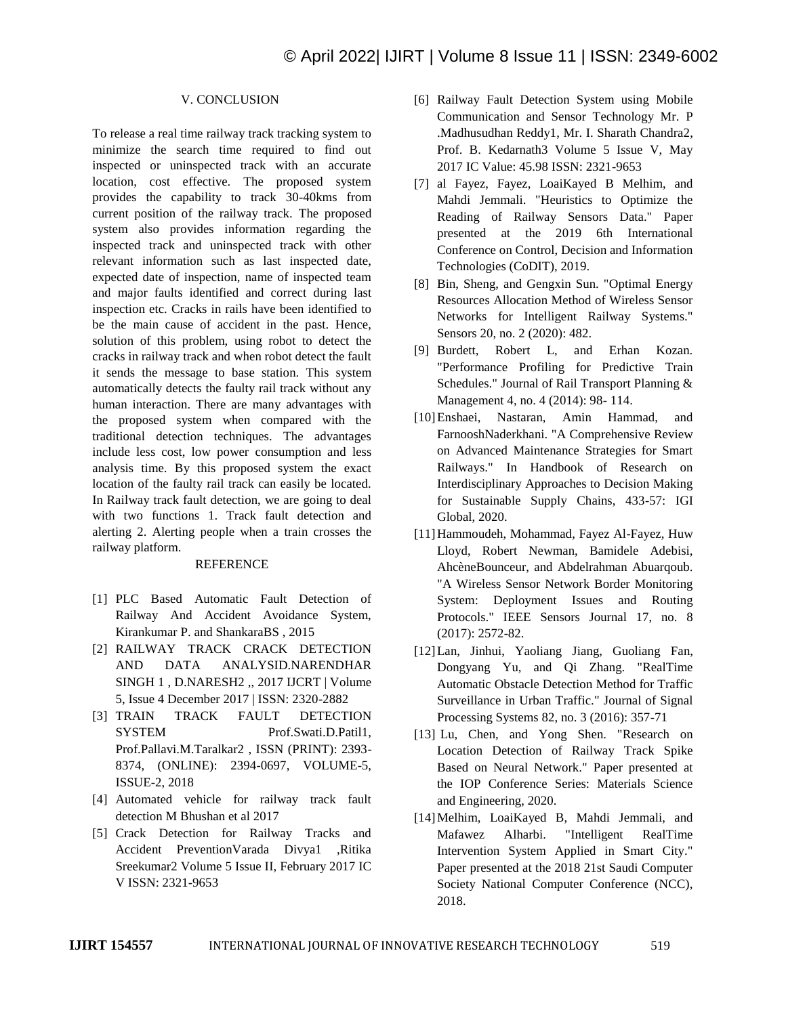### V. CONCLUSION

To release a real time railway track tracking system to minimize the search time required to find out inspected or uninspected track with an accurate location, cost effective. The proposed system provides the capability to track 30-40kms from current position of the railway track. The proposed system also provides information regarding the inspected track and uninspected track with other relevant information such as last inspected date, expected date of inspection, name of inspected team and major faults identified and correct during last inspection etc. Cracks in rails have been identified to be the main cause of accident in the past. Hence, solution of this problem, using robot to detect the cracks in railway track and when robot detect the fault it sends the message to base station. This system automatically detects the faulty rail track without any human interaction. There are many advantages with the proposed system when compared with the traditional detection techniques. The advantages include less cost, low power consumption and less analysis time. By this proposed system the exact location of the faulty rail track can easily be located. In Railway track fault detection, we are going to deal with two functions 1. Track fault detection and alerting 2. Alerting people when a train crosses the railway platform.

### **REFERENCE**

- [1] PLC Based Automatic Fault Detection of Railway And Accident Avoidance System, Kirankumar P. and ShankaraBS , 2015
- [2] RAILWAY TRACK CRACK DETECTION AND DATA ANALYSID.NARENDHAR SINGH 1 , D.NARESH2 ,, 2017 IJCRT | Volume 5, Issue 4 December 2017 | ISSN: 2320-2882
- [3] TRAIN TRACK FAULT DETECTION SYSTEM Prof.Swati.D.Patil1, Prof.Pallavi.M.Taralkar2 , ISSN (PRINT): 2393- 8374, (ONLINE): 2394-0697, VOLUME-5, ISSUE-2, 2018
- [4] Automated vehicle for railway track fault detection M Bhushan et al 2017
- [5] Crack Detection for Railway Tracks and Accident PreventionVarada Divya1 ,Ritika Sreekumar2 Volume 5 Issue II, February 2017 IC V ISSN: 2321-9653
- [6] Railway Fault Detection System using Mobile Communication and Sensor Technology Mr. P .Madhusudhan Reddy1, Mr. I. Sharath Chandra2, Prof. B. Kedarnath3 Volume 5 Issue V, May 2017 IC Value: 45.98 ISSN: 2321-9653
- [7] al Fayez, Fayez, LoaiKayed B Melhim, and Mahdi Jemmali. "Heuristics to Optimize the Reading of Railway Sensors Data." Paper presented at the 2019 6th International Conference on Control, Decision and Information Technologies (CoDIT), 2019.
- [8] Bin, Sheng, and Gengxin Sun. "Optimal Energy Resources Allocation Method of Wireless Sensor Networks for Intelligent Railway Systems." Sensors 20, no. 2 (2020): 482.
- [9] Burdett, Robert L, and Erhan Kozan. "Performance Profiling for Predictive Train Schedules." Journal of Rail Transport Planning & Management 4, no. 4 (2014): 98- 114.
- [10]Enshaei, Nastaran, Amin Hammad, and FarnooshNaderkhani. "A Comprehensive Review on Advanced Maintenance Strategies for Smart Railways." In Handbook of Research on Interdisciplinary Approaches to Decision Making for Sustainable Supply Chains, 433-57: IGI Global, 2020.
- [11]Hammoudeh, Mohammad, Fayez Al-Fayez, Huw Lloyd, Robert Newman, Bamidele Adebisi, AhcèneBounceur, and Abdelrahman Abuarqoub. "A Wireless Sensor Network Border Monitoring System: Deployment Issues and Routing Protocols." IEEE Sensors Journal 17, no. 8 (2017): 2572-82.
- [12]Lan, Jinhui, Yaoliang Jiang, Guoliang Fan, Dongyang Yu, and Qi Zhang. "RealTime Automatic Obstacle Detection Method for Traffic Surveillance in Urban Traffic." Journal of Signal Processing Systems 82, no. 3 (2016): 357-71
- [13] Lu, Chen, and Yong Shen. "Research on Location Detection of Railway Track Spike Based on Neural Network." Paper presented at the IOP Conference Series: Materials Science and Engineering, 2020.
- [14]Melhim, LoaiKayed B, Mahdi Jemmali, and Mafawez Alharbi. "Intelligent RealTime Intervention System Applied in Smart City." Paper presented at the 2018 21st Saudi Computer Society National Computer Conference (NCC), 2018.